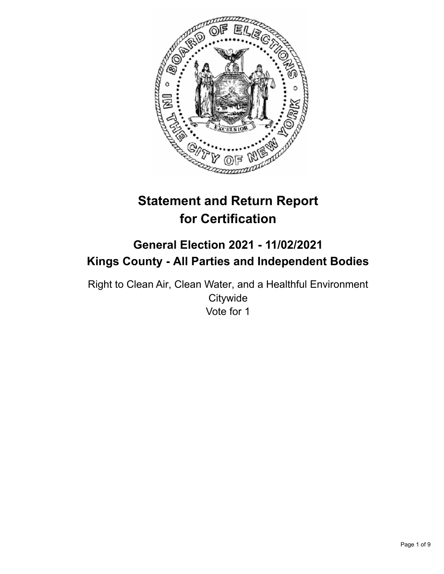

# **Statement and Return Report for Certification**

## **General Election 2021 - 11/02/2021 Kings County - All Parties and Independent Bodies**

Right to Clean Air, Clean Water, and a Healthful Environment **Citywide** Vote for 1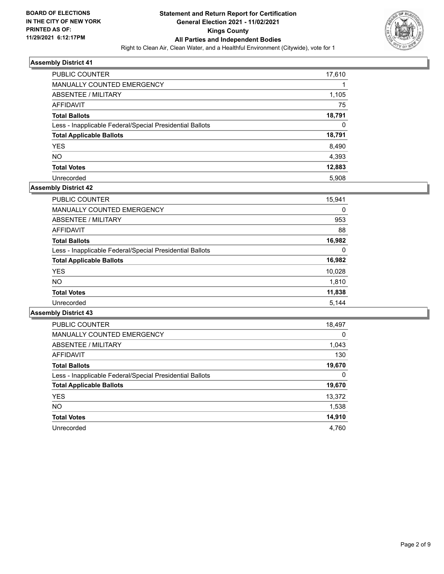

| <b>PUBLIC COUNTER</b>                                    | 17,610 |
|----------------------------------------------------------|--------|
| MANUALLY COUNTED EMERGENCY                               |        |
| ABSENTEE / MILITARY                                      | 1,105  |
| AFFIDAVIT                                                | 75     |
| <b>Total Ballots</b>                                     | 18,791 |
| Less - Inapplicable Federal/Special Presidential Ballots | 0      |
| <b>Total Applicable Ballots</b>                          | 18,791 |
| <b>YES</b>                                               | 8,490  |
| <b>NO</b>                                                | 4,393  |
| <b>Total Votes</b>                                       | 12,883 |
| Unrecorded                                               | 5.908  |

## **Assembly District 42**

| PUBLIC COUNTER                                           | 15,941 |
|----------------------------------------------------------|--------|
| MANUALLY COUNTED EMERGENCY                               | 0      |
| ABSENTEE / MILITARY                                      | 953    |
| AFFIDAVIT                                                | 88     |
| <b>Total Ballots</b>                                     | 16,982 |
| Less - Inapplicable Federal/Special Presidential Ballots | 0      |
| <b>Total Applicable Ballots</b>                          | 16,982 |
| <b>YES</b>                                               | 10,028 |
| <b>NO</b>                                                | 1,810  |
| <b>Total Votes</b>                                       | 11,838 |
| Unrecorded                                               | 5.144  |

| <b>PUBLIC COUNTER</b>                                    | 18,497   |
|----------------------------------------------------------|----------|
| <b>MANUALLY COUNTED EMERGENCY</b>                        | $\Omega$ |
| ABSENTEE / MILITARY                                      | 1,043    |
| <b>AFFIDAVIT</b>                                         | 130      |
| <b>Total Ballots</b>                                     | 19,670   |
| Less - Inapplicable Federal/Special Presidential Ballots | 0        |
| <b>Total Applicable Ballots</b>                          | 19,670   |
| <b>YES</b>                                               | 13,372   |
| <b>NO</b>                                                | 1,538    |
| <b>Total Votes</b>                                       | 14,910   |
| Unrecorded                                               | 4.760    |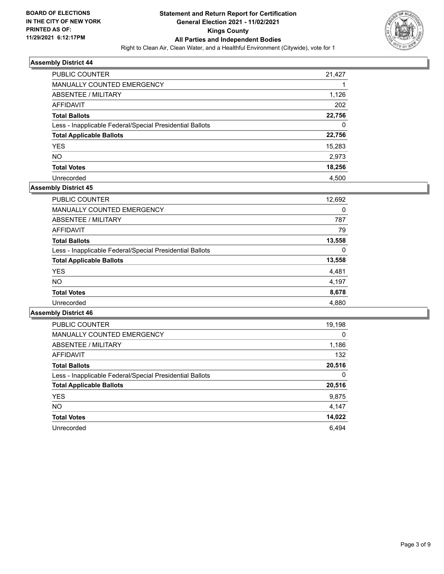

| <b>PUBLIC COUNTER</b>                                    | 21,427 |
|----------------------------------------------------------|--------|
| <b>MANUALLY COUNTED EMERGENCY</b>                        |        |
| ABSENTEE / MILITARY                                      | 1,126  |
| AFFIDAVIT                                                | 202    |
| <b>Total Ballots</b>                                     | 22,756 |
| Less - Inapplicable Federal/Special Presidential Ballots | 0      |
| <b>Total Applicable Ballots</b>                          | 22,756 |
| <b>YES</b>                                               | 15,283 |
| <b>NO</b>                                                | 2,973  |
| <b>Total Votes</b>                                       | 18,256 |
| Unrecorded                                               | 4.500  |

#### **Assembly District 45**

| <b>PUBLIC COUNTER</b>                                    | 12,692 |
|----------------------------------------------------------|--------|
| <b>MANUALLY COUNTED EMERGENCY</b>                        | 0      |
| ABSENTEE / MILITARY                                      | 787    |
| AFFIDAVIT                                                | 79     |
| <b>Total Ballots</b>                                     | 13,558 |
| Less - Inapplicable Federal/Special Presidential Ballots | 0      |
| <b>Total Applicable Ballots</b>                          | 13,558 |
| <b>YES</b>                                               | 4,481  |
| <b>NO</b>                                                | 4.197  |
| <b>Total Votes</b>                                       | 8,678  |
| Unrecorded                                               | 4,880  |
|                                                          |        |

| <b>PUBLIC COUNTER</b>                                    | 19,198   |
|----------------------------------------------------------|----------|
| <b>MANUALLY COUNTED EMERGENCY</b>                        | $\Omega$ |
| ABSENTEE / MILITARY                                      | 1,186    |
| <b>AFFIDAVIT</b>                                         | 132      |
| <b>Total Ballots</b>                                     | 20,516   |
| Less - Inapplicable Federal/Special Presidential Ballots | $\Omega$ |
| <b>Total Applicable Ballots</b>                          | 20,516   |
| <b>YES</b>                                               | 9,875    |
| <b>NO</b>                                                | 4.147    |
| <b>Total Votes</b>                                       | 14,022   |
| Unrecorded                                               | 6.494    |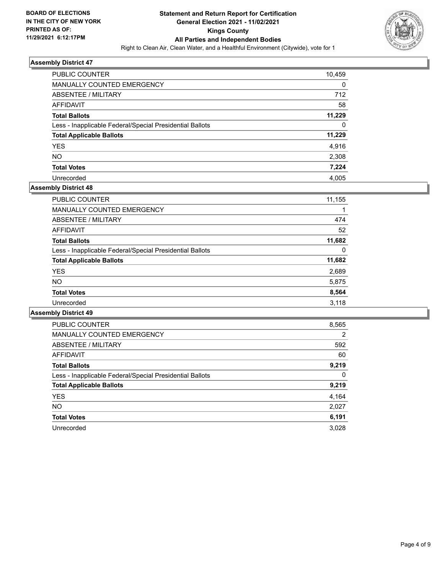

| PUBLIC COUNTER                                           | 10,459 |
|----------------------------------------------------------|--------|
| MANUALLY COUNTED EMERGENCY                               | 0      |
| ABSENTEE / MILITARY                                      | 712    |
| AFFIDAVIT                                                | 58     |
| <b>Total Ballots</b>                                     | 11,229 |
| Less - Inapplicable Federal/Special Presidential Ballots | 0      |
| <b>Total Applicable Ballots</b>                          | 11,229 |
| <b>YES</b>                                               | 4,916  |
| <b>NO</b>                                                | 2,308  |
| <b>Total Votes</b>                                       | 7,224  |
| Unrecorded                                               | 4.005  |

## **Assembly District 48**

| <b>PUBLIC COUNTER</b>                                    | 11,155   |
|----------------------------------------------------------|----------|
| <b>MANUALLY COUNTED EMERGENCY</b>                        |          |
| ABSENTEE / MILITARY                                      | 474      |
| AFFIDAVIT                                                | 52       |
| <b>Total Ballots</b>                                     | 11,682   |
| Less - Inapplicable Federal/Special Presidential Ballots | $\Omega$ |
| <b>Total Applicable Ballots</b>                          | 11,682   |
| <b>YES</b>                                               | 2,689    |
| <b>NO</b>                                                | 5,875    |
| <b>Total Votes</b>                                       | 8,564    |
| Unrecorded                                               | 3,118    |

| <b>PUBLIC COUNTER</b>                                    | 8,565 |
|----------------------------------------------------------|-------|
| <b>MANUALLY COUNTED EMERGENCY</b>                        | 2     |
| ABSENTEE / MILITARY                                      | 592   |
| <b>AFFIDAVIT</b>                                         | 60    |
| <b>Total Ballots</b>                                     | 9,219 |
| Less - Inapplicable Federal/Special Presidential Ballots | 0     |
| <b>Total Applicable Ballots</b>                          | 9,219 |
| <b>YES</b>                                               | 4,164 |
| NO.                                                      | 2,027 |
| <b>Total Votes</b>                                       | 6,191 |
| Unrecorded                                               | 3.028 |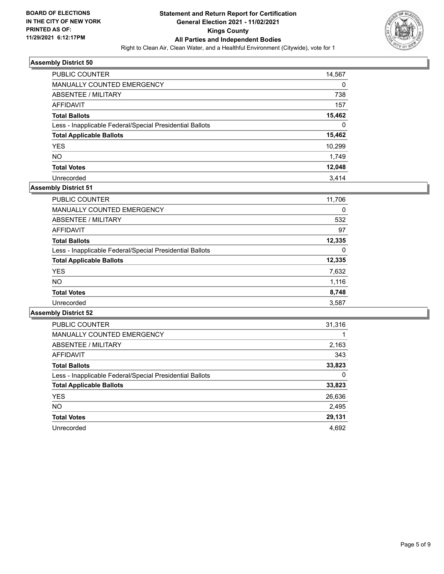

| <b>PUBLIC COUNTER</b>                                    | 14,567 |
|----------------------------------------------------------|--------|
| MANUALLY COUNTED EMERGENCY                               | 0      |
| ABSENTEE / MILITARY                                      | 738    |
| AFFIDAVIT                                                | 157    |
| <b>Total Ballots</b>                                     | 15,462 |
| Less - Inapplicable Federal/Special Presidential Ballots | 0      |
| <b>Total Applicable Ballots</b>                          | 15,462 |
| <b>YES</b>                                               | 10,299 |
| <b>NO</b>                                                | 1,749  |
| <b>Total Votes</b>                                       | 12,048 |
| Unrecorded                                               | 3.414  |

## **Assembly District 51**

| 11,706 |
|--------|
| 0      |
| 532    |
| 97     |
| 12,335 |
| 0      |
| 12,335 |
| 7,632  |
| 1,116  |
| 8,748  |
| 3,587  |
|        |

| <b>PUBLIC COUNTER</b>                                    | 31,316 |
|----------------------------------------------------------|--------|
| <b>MANUALLY COUNTED EMERGENCY</b>                        |        |
| ABSENTEE / MILITARY                                      | 2,163  |
| <b>AFFIDAVIT</b>                                         | 343    |
| <b>Total Ballots</b>                                     | 33,823 |
| Less - Inapplicable Federal/Special Presidential Ballots | 0      |
| <b>Total Applicable Ballots</b>                          | 33,823 |
| <b>YES</b>                                               | 26,636 |
| <b>NO</b>                                                | 2,495  |
| <b>Total Votes</b>                                       | 29,131 |
| Unrecorded                                               | 4.692  |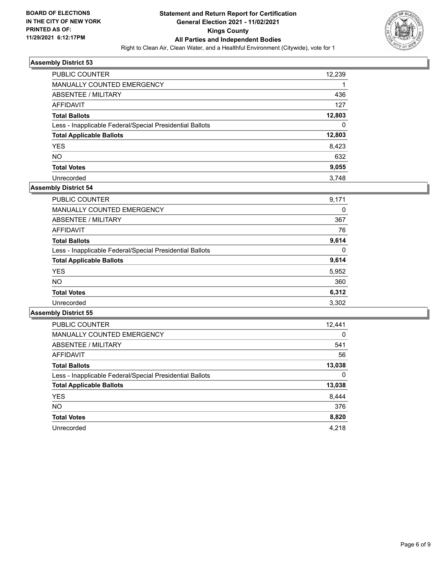

| <b>PUBLIC COUNTER</b>                                    | 12,239 |
|----------------------------------------------------------|--------|
| MANUALLY COUNTED EMERGENCY                               |        |
| ABSENTEE / MILITARY                                      | 436    |
| AFFIDAVIT                                                | 127    |
| <b>Total Ballots</b>                                     | 12,803 |
| Less - Inapplicable Federal/Special Presidential Ballots | 0      |
| <b>Total Applicable Ballots</b>                          | 12,803 |
| <b>YES</b>                                               | 8,423  |
| <b>NO</b>                                                | 632    |
| <b>Total Votes</b>                                       | 9,055  |
| Unrecorded                                               | 3.748  |

#### **Assembly District 54**

| 9,171 |
|-------|
| 0     |
| 367   |
| 76    |
| 9,614 |
| 0     |
| 9,614 |
| 5,952 |
| 360   |
| 6,312 |
| 3.302 |
|       |

| <b>PUBLIC COUNTER</b>                                    | 12,441   |
|----------------------------------------------------------|----------|
| <b>MANUALLY COUNTED EMERGENCY</b>                        | $\Omega$ |
| ABSENTEE / MILITARY                                      | 541      |
| <b>AFFIDAVIT</b>                                         | 56       |
| <b>Total Ballots</b>                                     | 13,038   |
| Less - Inapplicable Federal/Special Presidential Ballots | 0        |
| <b>Total Applicable Ballots</b>                          | 13,038   |
| <b>YES</b>                                               | 8,444    |
| NO.                                                      | 376      |
| <b>Total Votes</b>                                       | 8,820    |
| Unrecorded                                               | 4.218    |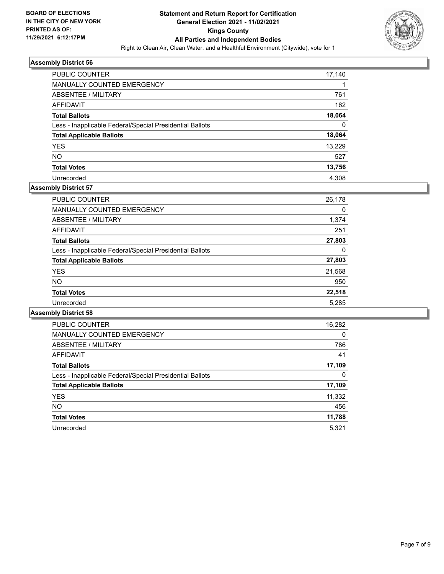

| <b>PUBLIC COUNTER</b>                                    | 17,140 |
|----------------------------------------------------------|--------|
| <b>MANUALLY COUNTED EMERGENCY</b>                        |        |
| ABSENTEE / MILITARY                                      | 761    |
| AFFIDAVIT                                                | 162    |
| <b>Total Ballots</b>                                     | 18,064 |
| Less - Inapplicable Federal/Special Presidential Ballots | 0      |
| <b>Total Applicable Ballots</b>                          | 18,064 |
| <b>YES</b>                                               | 13.229 |
| <b>NO</b>                                                | 527    |
| <b>Total Votes</b>                                       | 13,756 |
| Unrecorded                                               | 4.308  |

## **Assembly District 57**

| 26,178 |
|--------|
| 0      |
| 1,374  |
| 251    |
| 27,803 |
| 0      |
| 27,803 |
| 21,568 |
| 950    |
| 22,518 |
| 5,285  |
|        |

| <b>PUBLIC COUNTER</b>                                    | 16,282   |
|----------------------------------------------------------|----------|
| <b>MANUALLY COUNTED EMERGENCY</b>                        | $\Omega$ |
| ABSENTEE / MILITARY                                      | 786      |
| <b>AFFIDAVIT</b>                                         | 41       |
| <b>Total Ballots</b>                                     | 17,109   |
| Less - Inapplicable Federal/Special Presidential Ballots | 0        |
| <b>Total Applicable Ballots</b>                          | 17,109   |
| <b>YES</b>                                               | 11,332   |
| NO.                                                      | 456      |
| <b>Total Votes</b>                                       | 11,788   |
| Unrecorded                                               | 5.321    |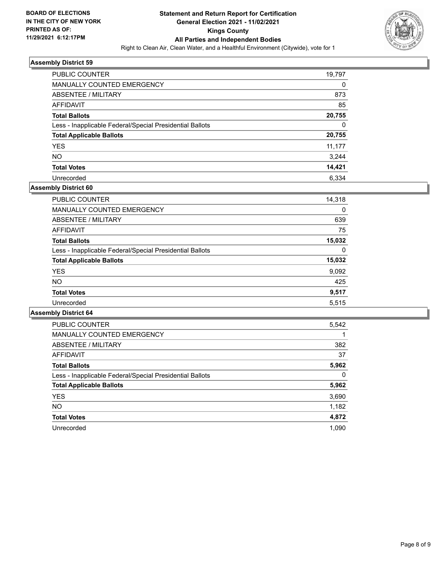

| PUBLIC COUNTER                                           | 19,797   |
|----------------------------------------------------------|----------|
| MANUALLY COUNTED EMERGENCY                               | 0        |
| ABSENTEE / MILITARY                                      | 873      |
| AFFIDAVIT                                                | 85       |
| <b>Total Ballots</b>                                     | 20,755   |
| Less - Inapplicable Federal/Special Presidential Ballots | $\Omega$ |
| <b>Total Applicable Ballots</b>                          | 20,755   |
| <b>YES</b>                                               | 11,177   |
| <b>NO</b>                                                | 3,244    |
| <b>Total Votes</b>                                       | 14,421   |
| Unrecorded                                               | 6.334    |

#### **Assembly District 60**

| <b>PUBLIC COUNTER</b>                                    | 14,318 |
|----------------------------------------------------------|--------|
| <b>MANUALLY COUNTED EMERGENCY</b>                        | 0      |
| ABSENTEE / MILITARY                                      | 639    |
| AFFIDAVIT                                                | 75     |
| <b>Total Ballots</b>                                     | 15.032 |
| Less - Inapplicable Federal/Special Presidential Ballots | 0      |
| <b>Total Applicable Ballots</b>                          | 15,032 |
| <b>YES</b>                                               | 9,092  |
| <b>NO</b>                                                | 425    |
| <b>Total Votes</b>                                       | 9,517  |
| Unrecorded                                               | 5.515  |

| <b>PUBLIC COUNTER</b>                                    | 5,542 |
|----------------------------------------------------------|-------|
| <b>MANUALLY COUNTED EMERGENCY</b>                        |       |
| ABSENTEE / MILITARY                                      | 382   |
| <b>AFFIDAVIT</b>                                         | 37    |
| <b>Total Ballots</b>                                     | 5,962 |
| Less - Inapplicable Federal/Special Presidential Ballots | 0     |
| <b>Total Applicable Ballots</b>                          | 5,962 |
| <b>YES</b>                                               | 3,690 |
| NO.                                                      | 1,182 |
| <b>Total Votes</b>                                       | 4,872 |
| Unrecorded                                               | 1.090 |